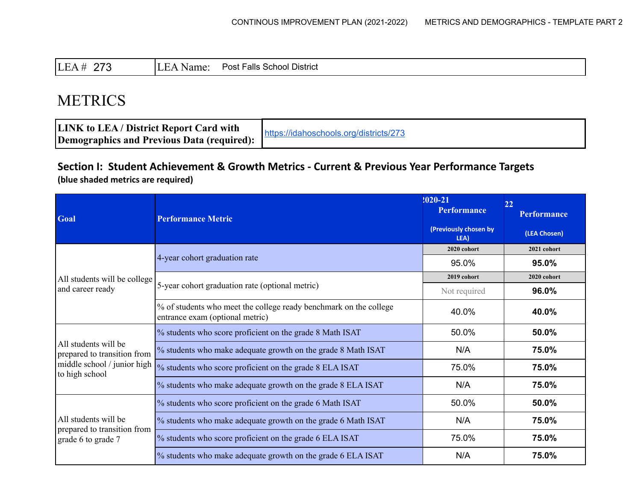|  | ---<br>LE<br>ັ | 'Natile. | alls<br>School'<br><b>District</b><br>Post |
|--|----------------|----------|--------------------------------------------|
|--|----------------|----------|--------------------------------------------|

# **METRICS**

| <b>LINK to LEA/District Report Card with</b>      | https://idahoschools.org/districts/273 |
|---------------------------------------------------|----------------------------------------|
| <b>Demographics and Previous Data (required):</b> |                                        |

### **Section I: Student Achievement & Growth Metrics - Current & Previous Year Performance Targets (blue shaded metrics are required)**

| Goal                                                                                                 | <b>Performance Metric</b>                                                                            | $2020 - 21$<br><b>Performance</b> | 22<br><b>Performance</b> |
|------------------------------------------------------------------------------------------------------|------------------------------------------------------------------------------------------------------|-----------------------------------|--------------------------|
|                                                                                                      |                                                                                                      | (Previously chosen by<br>LEA)     | (LEA Chosen)             |
|                                                                                                      |                                                                                                      | 2020 cohort                       | 2021 cohort              |
|                                                                                                      | 4-year cohort graduation rate                                                                        | 95.0%                             | 95.0%                    |
| All students will be college                                                                         |                                                                                                      | 2019 cohort                       | 2020 cohort              |
| and career ready                                                                                     | 5-year cohort graduation rate (optional metric)                                                      | Not required                      | 96.0%                    |
|                                                                                                      | % of students who meet the college ready benchmark on the college<br>entrance exam (optional metric) | 40.0%                             | 40.0%                    |
| All students will be<br>prepared to transition from<br>middle school / junior high<br>to high school | % students who score proficient on the grade 8 Math ISAT                                             | 50.0%                             | 50.0%                    |
|                                                                                                      | % students who make adequate growth on the grade 8 Math ISAT                                         | N/A                               | 75.0%                    |
|                                                                                                      | % students who score proficient on the grade 8 ELA ISAT                                              | 75.0%                             | 75.0%                    |
|                                                                                                      | % students who make adequate growth on the grade 8 ELA ISAT                                          | N/A                               | 75.0%                    |
| All students will be<br>prepared to transition from<br>grade 6 to grade 7                            | % students who score proficient on the grade 6 Math ISAT                                             | 50.0%                             | 50.0%                    |
|                                                                                                      | % students who make adequate growth on the grade 6 Math ISAT                                         | N/A                               | 75.0%                    |
|                                                                                                      | % students who score proficient on the grade 6 ELA ISAT                                              | 75.0%                             | 75.0%                    |
|                                                                                                      | % students who make adequate growth on the grade 6 ELA ISAT                                          | N/A                               | 75.0%                    |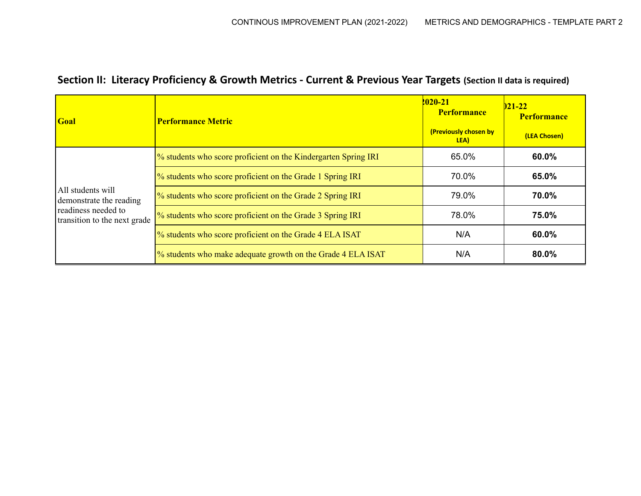| <b>Goal</b>                                                                                         | <b>Performance Metric</b>                                      | 2020-21<br><b>Performance</b><br>(Previously chosen by<br>LEA) | $D21-22$<br><b>Performance</b><br>(LEA Chosen) |
|-----------------------------------------------------------------------------------------------------|----------------------------------------------------------------|----------------------------------------------------------------|------------------------------------------------|
| All students will<br>demonstrate the reading<br>readiness needed to<br>transition to the next grade | % students who score proficient on the Kindergarten Spring IRI | 65.0%                                                          | 60.0%                                          |
|                                                                                                     | % students who score proficient on the Grade 1 Spring IRI      | 70.0%                                                          | 65.0%                                          |
|                                                                                                     | % students who score proficient on the Grade 2 Spring IRI      | 79.0%                                                          | 70.0%                                          |
|                                                                                                     | % students who score proficient on the Grade 3 Spring IRI      | 78.0%                                                          | 75.0%                                          |
|                                                                                                     | % students who score proficient on the Grade 4 ELA ISAT        | N/A                                                            | 60.0%                                          |
|                                                                                                     | % students who make adequate growth on the Grade 4 ELA ISAT    | N/A                                                            | 80.0%                                          |

# **Section II: Literacy Proficiency & Growth Metrics - Current & Previous Year Targets (Section II data is required)**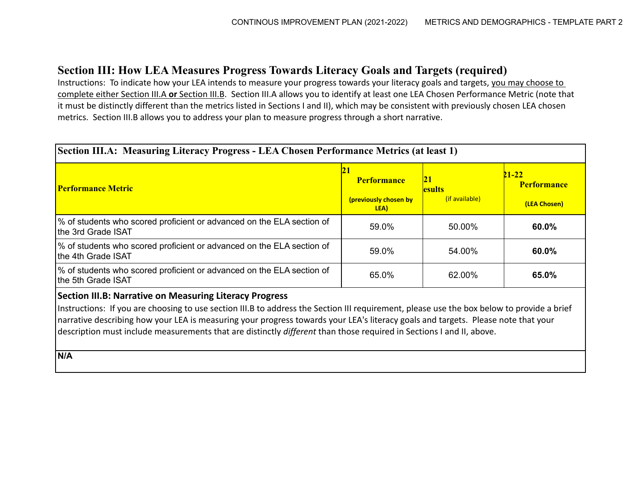# **Section III: How LEA Measures Progress Towards Literacy Goals and Targets (required)**

Instructions: To indicate how your LEA intends to measure your progress towards your literacy goals and targets, you may choose to complete either Section III.A **or** Section III.B. Section III.A allows you to identify at least one LEA Chosen Performance Metric (note that it must be distinctly different than the metrics listed in Sections I and II), which may be consistent with previously chosen LEA chosen metrics. Section III.B allows you to address your plan to measure progress through a short narrative.

| Section III.A: Measuring Literacy Progress - LEA Chosen Performance Metrics (at least 1)    |                                                           |                                       |                                                 |  |  |  |
|---------------------------------------------------------------------------------------------|-----------------------------------------------------------|---------------------------------------|-------------------------------------------------|--|--|--|
| <b>Performance Metric</b>                                                                   | ΖI<br><b>Performance</b><br>(previously chosen by<br>LEA) | 21<br><b>esults</b><br>(if available) | $21 - 22$<br><b>Performance</b><br>(LEA Chosen) |  |  |  |
| % of students who scored proficient or advanced on the ELA section of<br>the 3rd Grade ISAT | 59.0%                                                     | 50.00%                                | 60.0%                                           |  |  |  |
| % of students who scored proficient or advanced on the ELA section of<br>the 4th Grade ISAT | 59.0%                                                     | 54.00%                                | 60.0%                                           |  |  |  |
| % of students who scored proficient or advanced on the ELA section of<br>the 5th Grade ISAT | 65.0%                                                     | 62.00%                                | 65.0%                                           |  |  |  |
|                                                                                             |                                                           |                                       |                                                 |  |  |  |

#### **Section III.B: Narrative on Measuring Literacy Progress**

Instructions: If you are choosing to use section III.B to address the Section III requirement, please use the box below to provide a brief narrative describing how your LEA is measuring your progress towards your LEA's literacy goals and targets. Please note that your description must include measurements that are distinctly *different* than those required in Sections I and II, above.

**N/A**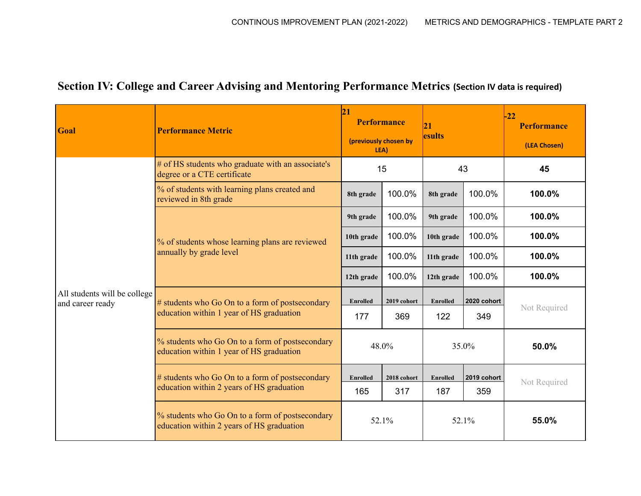# **Section IV: College and Career Advising and Mentoring Performance Metrics (Section IV data is required)**

| Goal                                             | <b>Performance Metric</b>                                                                    | 21<br><b>Performance</b><br>(previously chosen by<br>LEA) |             | 21 <br>esults   |             | $-22$<br><b>Performance</b><br>(LEA Chosen) |
|--------------------------------------------------|----------------------------------------------------------------------------------------------|-----------------------------------------------------------|-------------|-----------------|-------------|---------------------------------------------|
| All students will be college<br>and career ready | # of HS students who graduate with an associate's<br>degree or a CTE certificate             | 15                                                        |             | 43              |             | 45                                          |
|                                                  | % of students with learning plans created and<br>reviewed in 8th grade                       | 8th grade                                                 | 100.0%      | 8th grade       | 100.0%      | 100.0%                                      |
|                                                  | % of students whose learning plans are reviewed<br>annually by grade level                   | 9th grade                                                 | 100.0%      | 9th grade       | 100.0%      | 100.0%                                      |
|                                                  |                                                                                              | 10th grade                                                | 100.0%      | 10th grade      | 100.0%      | 100.0%                                      |
|                                                  |                                                                                              | 11th grade                                                | 100.0%      | 11th grade      | 100.0%      | 100.0%                                      |
|                                                  |                                                                                              | 12th grade                                                | 100.0%      | 12th grade      | 100.0%      | 100.0%                                      |
|                                                  | # students who Go On to a form of postsecondary<br>education within 1 year of HS graduation  | <b>Enrolled</b>                                           | 2019 cohort | <b>Enrolled</b> | 2020 cohort |                                             |
|                                                  |                                                                                              | 177                                                       | 369         | 122             | 349         | Not Required                                |
|                                                  | % students who Go On to a form of postsecondary<br>education within 1 year of HS graduation  | 48.0%                                                     |             | 35.0%           |             | 50.0%                                       |
|                                                  | # students who Go On to a form of postsecondary<br>education within 2 years of HS graduation | <b>Enrolled</b>                                           | 2018 cohort | <b>Enrolled</b> | 2019 cohort | Not Required                                |
|                                                  |                                                                                              | 165                                                       | 317         | 187             | 359         |                                             |
|                                                  | % students who Go On to a form of postsecondary<br>education within 2 years of HS graduation |                                                           | 52.1%       |                 | 52.1%       | 55.0%                                       |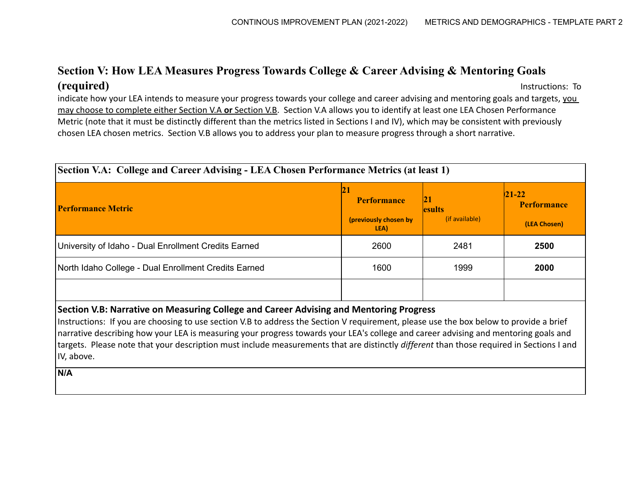# **Section V: How LEA Measures Progress Towards College & Career Advising & Mentoring Goals (required)** Instructions: To

indicate how your LEA intends to measure your progress towards your college and career advising and mentoring goals and targets, you may choose to complete either Section V.A **or** Section V.B. Section V.A allows you to identify at least one LEA Chosen Performance Metric (note that it must be distinctly different than the metrics listed in Sections I and IV), which may be consistent with previously chosen LEA chosen metrics. Section V.B allows you to address your plan to measure progress through a short narrative.

| Section V.A: College and Career Advising - LEA Chosen Performance Metrics (at least 1) |                                                             |                                       |                                                 |  |  |  |  |
|----------------------------------------------------------------------------------------|-------------------------------------------------------------|---------------------------------------|-------------------------------------------------|--|--|--|--|
| <b>Performance Metric</b>                                                              | IZ I<br><b>Performance</b><br>(previously chosen by<br>LEA) | 21<br><b>esults</b><br>(if available) | $ 21-22 $<br><b>Performance</b><br>(LEA Chosen) |  |  |  |  |
| University of Idaho - Dual Enrollment Credits Earned                                   | 2600                                                        | 2481                                  | 2500                                            |  |  |  |  |
| North Idaho College - Dual Enrollment Credits Earned                                   | 1600                                                        | 1999                                  | 2000                                            |  |  |  |  |
|                                                                                        |                                                             |                                       |                                                 |  |  |  |  |

### **Section V.B: Narrative on Measuring College and Career Advising and Mentoring Progress**

Instructions: If you are choosing to use section V.B to address the Section V requirement, please use the box below to provide a brief narrative describing how your LEA is measuring your progress towards your LEA's college and career advising and mentoring goals and targets. Please note that your description must include measurements that are distinctly *different* than those required in Sections I and IV, above.

**N/A**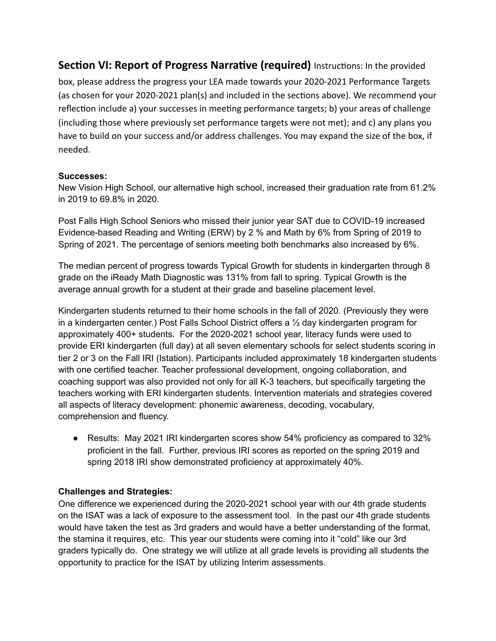## **Section VI: Report of Progress Narrative (required)** Instructions: In the provided

box, please address the progress your LEA made towards your 2020-2021 Performance Targets (as chosen for your 2020-2021 plan(s) and included in the sections above). We recommend your reflection include a) your successes in meeting performance targets; b) your areas of challenge (including those where previously set performance targets were not met); and c) any plans you have to build on your success and/or address challenges. You may expand the size of the box, if needed.

### **Successes:**

New Vision High School, our alternative high school, increased their graduation rate from 61.2% in 2019 to 69.8% in 2020.

Post Falls High School Seniors who missed their junior year SAT due to COVID-19 increased Evidence-based Reading and Writing (ERW) by 2 % and Math by 6% from Spring of 2019 to Spring of 2021. The percentage of seniors meeting both benchmarks also increased by 6%.

The median percent of progress towards Typical Growth for students in kindergarten through 8 grade on the iReady Math Diagnostic was 131% from fall to spring. Typical Growth is the average annual growth for a student at their grade and baseline placement level.

Kindergarten students returned to their home schools in the fall of 2020. (Previously they were in a kindergarten center.) Post Falls School District offers a  $\frac{1}{2}$  day kindergarten program for approximately 400+ students. For the 2020-2021 school year, literacy funds were used to provide ERI kindergarten (full day) at all seven elementary schools for select students scoring in tier 2 or 3 on the Fall IRI (Istation). Participants included approximately 18 kindergarten students with one certified teacher. Teacher professional development, ongoing collaboration, and coaching support was also provided not only for all K-3 teachers, but specifically targeting the teachers working with ERI kindergarten students. Intervention materials and strategies covered all aspects of literacy development: phonemic awareness, decoding, vocabulary, comprehension and fluency.

● Results: May 2021 IRI kindergarten scores show 54% proficiency as compared to 32% proficient in the fall. Further, previous IRI scores as reported on the spring 2019 and spring 2018 IRI show demonstrated proficiency at approximately 40%.

### **Challenges and Strategies:**

One difference we experienced during the 2020-2021 school year with our 4th grade students on the ISAT was a lack of exposure to the assessment tool. In the past our 4th grade students would have taken the test as 3rd graders and would have a better understanding of the format, the stamina it requires, etc. This year our students were coming into it "cold" like our 3rd graders typically do. One strategy we will utilize at all grade levels is providing all students the opportunity to practice for the ISAT by utilizing Interim assessments.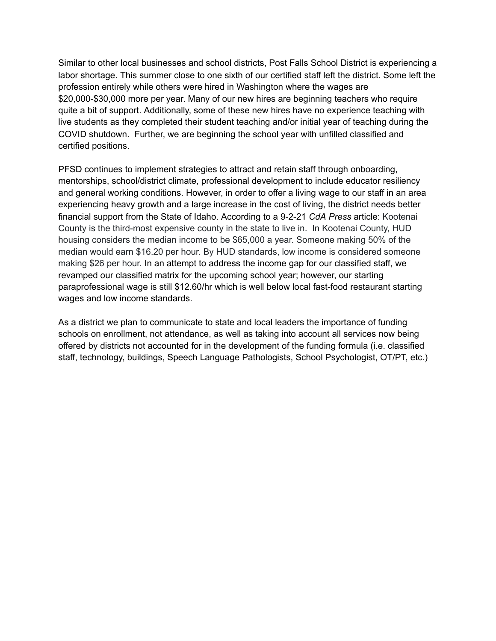Similar to other local businesses and school districts, Post Falls School District is experiencing a labor shortage. This summer close to one sixth of our certified staff left the district. Some left the profession entirely while others were hired in Washington where the wages are \$20,000-\$30,000 more per year. Many of our new hires are beginning teachers who require quite a bit of support. Additionally, some of these new hires have no experience teaching with live students as they completed their student teaching and/or initial year of teaching during the COVID shutdown. Further, we are beginning the school year with unfilled classified and certified positions.

PFSD continues to implement strategies to attract and retain staff through onboarding, mentorships, school/district climate, professional development to include educator resiliency and general working conditions. However, in order to offer a living wage to our staff in an area experiencing heavy growth and a large increase in the cost of living, the district needs better financial support from the State of Idaho. According to a 9-2-21 *CdA Press* article: Kootenai County is the third-most expensive county in the state to live in. In Kootenai County, HUD housing considers the median income to be \$65,000 a year. Someone making 50% of the median would earn \$16.20 per hour. By HUD standards, low income is considered someone making \$26 per hour. In an attempt to address the income gap for our classified staff, we revamped our classified matrix for the upcoming school year; however, our starting paraprofessional wage is still \$12.60/hr which is well below local fast-food restaurant starting wages and low income standards.

As a district we plan to communicate to state and local leaders the importance of funding schools on enrollment, not attendance, as well as taking into account all services now being offered by districts not accounted for in the development of the funding formula (i.e. classified staff, technology, buildings, Speech Language Pathologists, School Psychologist, OT/PT, etc.)